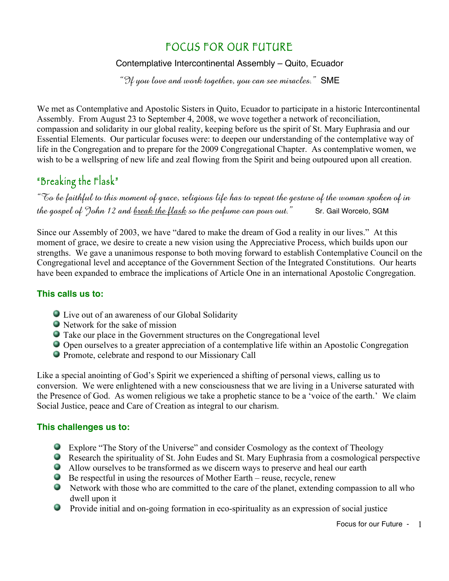## FOCUS FOR OUR FUTURE

#### Contemplative Intercontinental Assembly – Quito, Ecuador

"If you love and work together, you can see miracles."  $SME$ 

We met as Contemplative and Apostolic Sisters in Quito, Ecuador to participate in a historic Intercontinental Assembly. From August 23 to September 4, 2008, we wove together a network of reconciliation, compassion and solidarity in our global reality, keeping before us the spirit of St. Mary Euphrasia and our Essential Elements. Our particular focuses were: to deepen our understanding of the contemplative way of life in the Congregation and to prepare for the 2009 Congregational Chapter. As contemplative women, we wish to be a wellspring of new life and zeal flowing from the Spirit and being outpoured upon all creation.

# "Breaking the Flask"

"To be faithful to this moment of grace, religious life has to repeat the gesture of the woman spoken of in the gospel of John 12 and break the flask so the perfume can pour out." Sr. Gail Worcelo, SGM

Since our Assembly of 2003, we have "dared to make the dream of God a reality in our lives." At this moment of grace, we desire to create a new vision using the Appreciative Process, which builds upon our strengths. We gave a unanimous response to both moving forward to establish Contemplative Council on the Congregational level and acceptance of the Government Section of the Integrated Constitutions. Our hearts have been expanded to embrace the implications of Article One in an international Apostolic Congregation.

#### **This calls us to:**

- Live out of an awareness of our Global Solidarity
- Network for the sake of mission
- Take our place in the Government structures on the Congregational level
- Open ourselves to a greater appreciation of a contemplative life within an Apostolic Congregation
- Promote, celebrate and respond to our Missionary Call

Like a special anointing of God's Spirit we experienced a shifting of personal views, calling us to conversion. We were enlightened with a new consciousness that we are living in a Universe saturated with the Presence of God. As women religious we take a prophetic stance to be a 'voice of the earth.' We claim Social Justice, peace and Care of Creation as integral to our charism.

#### **This challenges us to:**

- Explore "The Story of the Universe" and consider Cosmology as the context of Theology
- Research the spirituality of St. John Eudes and St. Mary Euphrasia from a cosmological perspective
- Allow ourselves to be transformed as we discern ways to preserve and heal our earth
- $\bullet$  Be respectful in using the resources of Mother Earth reuse, recycle, renew
- Network with those who are committed to the care of the planet, extending compassion to all who dwell upon it
- Provide initial and on-going formation in eco-spirituality as an expression of social justice

Focus for our Future - 1